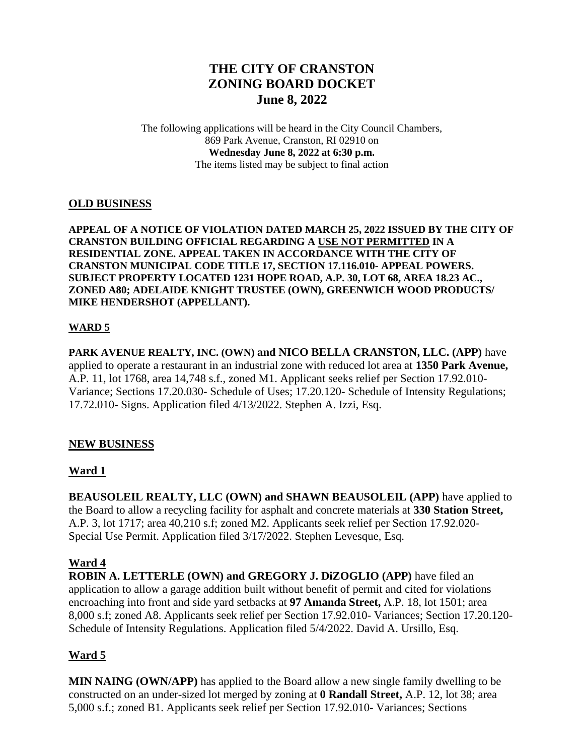# **THE CITY OF CRANSTON ZONING BOARD DOCKET June 8, 2022**

The following applications will be heard in the City Council Chambers, 869 Park Avenue, Cranston, RI 02910 on **Wednesday June 8, 2022 at 6:30 p.m.** The items listed may be subject to final action

#### **OLD BUSINESS**

**APPEAL OF A NOTICE OF VIOLATION DATED MARCH 25, 2022 ISSUED BY THE CITY OF CRANSTON BUILDING OFFICIAL REGARDING A USE NOT PERMITTED IN A RESIDENTIAL ZONE. APPEAL TAKEN IN ACCORDANCE WITH THE CITY OF CRANSTON MUNICIPAL CODE TITLE 17, SECTION 17.116.010- APPEAL POWERS. SUBJECT PROPERTY LOCATED 1231 HOPE ROAD, A.P. 30, LOT 68, AREA 18.23 AC., ZONED A80; ADELAIDE KNIGHT TRUSTEE (OWN), GREENWICH WOOD PRODUCTS/ MIKE HENDERSHOT (APPELLANT).** 

#### **WARD 5**

**PARK AVENUE REALTY, INC. (OWN) and NICO BELLA CRANSTON, LLC. (APP)** have applied to operate a restaurant in an industrial zone with reduced lot area at **1350 Park Avenue,**  A.P. 11, lot 1768, area 14,748 s.f., zoned M1. Applicant seeks relief per Section 17.92.010- Variance; Sections 17.20.030- Schedule of Uses; 17.20.120- Schedule of Intensity Regulations; 17.72.010- Signs. Application filed 4/13/2022. Stephen A. Izzi, Esq.

### **NEW BUSINESS**

### **Ward 1**

**BEAUSOLEIL REALTY, LLC (OWN) and SHAWN BEAUSOLEIL (APP)** have applied to the Board to allow a recycling facility for asphalt and concrete materials at **330 Station Street,** A.P. 3, lot 1717; area 40,210 s.f; zoned M2. Applicants seek relief per Section 17.92.020- Special Use Permit. Application filed 3/17/2022. Stephen Levesque, Esq.

### **Ward 4**

**ROBIN A. LETTERLE (OWN) and GREGORY J. DiZOGLIO (APP)** have filed an application to allow a garage addition built without benefit of permit and cited for violations encroaching into front and side yard setbacks at **97 Amanda Street,** A.P. 18, lot 1501; area 8,000 s.f; zoned A8. Applicants seek relief per Section 17.92.010- Variances; Section 17.20.120- Schedule of Intensity Regulations. Application filed 5/4/2022. David A. Ursillo, Esq.

### **Ward 5**

**MIN NAING (OWN/APP)** has applied to the Board allow a new single family dwelling to be constructed on an under-sized lot merged by zoning at **0 Randall Street,** A.P. 12, lot 38; area 5,000 s.f.; zoned B1. Applicants seek relief per Section 17.92.010- Variances; Sections